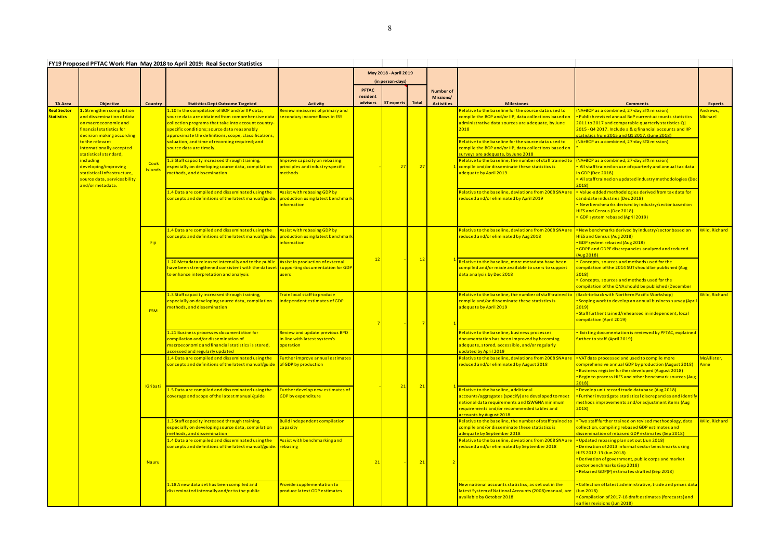| FY19 Proposed PFTAC Work Plan May 2018 to April 2019: Real Sector Statistics |                                                                                                                                         |                 |                                                                                                                                                                                                                                                                  |                                                                                       |                                      |                                |       |                                                    |                                                                                                                                                                                                                       |                                                                                                                                                                                                                                                                            |                                         |
|------------------------------------------------------------------------------|-----------------------------------------------------------------------------------------------------------------------------------------|-----------------|------------------------------------------------------------------------------------------------------------------------------------------------------------------------------------------------------------------------------------------------------------------|---------------------------------------------------------------------------------------|--------------------------------------|--------------------------------|-------|----------------------------------------------------|-----------------------------------------------------------------------------------------------------------------------------------------------------------------------------------------------------------------------|----------------------------------------------------------------------------------------------------------------------------------------------------------------------------------------------------------------------------------------------------------------------------|-----------------------------------------|
|                                                                              |                                                                                                                                         |                 |                                                                                                                                                                                                                                                                  |                                                                                       | May 2018 - April 2019                |                                |       |                                                    |                                                                                                                                                                                                                       |                                                                                                                                                                                                                                                                            |                                         |
| <b>TA Area</b>                                                               | Objective                                                                                                                               | Country         | <b>Statistics Dept Outcome Targeted</b>                                                                                                                                                                                                                          | <b>Activity</b>                                                                       | <b>PFTAC</b><br>resident<br>advisors | (in person-days)<br>ST experts | Total | <b>Number of</b><br>Missions/<br><b>Activities</b> | <b>Milestones</b>                                                                                                                                                                                                     | <b>Comments</b>                                                                                                                                                                                                                                                            | <b>Experts</b>                          |
| <b>Real Sector</b><br><b>Statistics</b>                                      | 1. Strengthen compilation<br>and dissemination of data<br>on macroeconomic and<br>financial statistics for<br>decision making according |                 | 1.10 In the compilation of BOP and/or IIP data,<br>source data are obtained from comprehensive data<br>collection programs that take into account country<br>specific conditions; source data reasonably<br>approximate the definitions, scope, classifications, | Review measures of primary and<br>secondary income flows in ESS                       |                                      | 27                             | 27    |                                                    | Relative to the baseline for the source data used to<br>compile the BOP and/or IIP, data collections based or<br>administrative data sources are adequate, by June<br>2018                                            | (NA+BOP as a combined, 27-day STX mission)<br>. Publish revised annual BoP current accounts statistics<br>2011 to 2017 and comparable quarterly statistics Q1<br>2015 - Q4 2017. Include a & q financial accounts and IIP<br>statistics from 2015 and Q1 2017. (June 2018) | <mark>\ndrews,</mark><br><u>Michael</u> |
|                                                                              | to the relevant<br>nternationally accepted<br>statistical standard,                                                                     |                 | valuation, and time of recording required; and<br>source data are timely.                                                                                                                                                                                        |                                                                                       |                                      |                                |       |                                                    | Relative to the baseline for the source data used to<br>compile the BOP and/or IIP, data collections based on<br>surveys are adequate, by June 2018                                                                   | (NA+BOP as a combined, 27-day STX mission)                                                                                                                                                                                                                                 |                                         |
|                                                                              | including<br>developing/improving<br>statistical infrastructure,<br>source data, serviceability<br>and/or metadata.                     | Cook<br>Islands | 1.3 Staff capacity increased through training,<br>especially on developing source data, compilation<br>methods, and dissemination                                                                                                                                | mprove capacity on rebasing<br>principles and industry-specific<br>methods            |                                      |                                |       |                                                    | Relative to the baseline, the number of staff trained t<br>1 compile and/or disseminate these statistics is<br>adequate by April 2019                                                                                 | (NA+BOP as a combined, 27-day STX mission)<br>All staff trained on use of quarterly and annual tax data<br>n GDP (Dec 2018)<br>. All staff trained on updated industry methodologies (Dec<br>2018                                                                          |                                         |
|                                                                              |                                                                                                                                         |                 | 1.4 Data are compiled and disseminated using the<br>oncepts and definitions of the latest manual/guide                                                                                                                                                           | <b>Assist with rebasing GDP by</b><br>production using latest benchmark<br>nformation |                                      |                                |       |                                                    | Relative to the baseline, deviations from 2008 SNA ar<br>reduced and/or eliminated by April 2019                                                                                                                      | • Value-added methodologies derived from tax data for<br>candidate industries (Dec 2018)<br>New benchmarks derived by industry/sector based on<br>HIES and Census (Dec 2018)<br>GDP system rebased (April 2019)                                                            |                                         |
|                                                                              |                                                                                                                                         | - Fiji          | .4 Data are compiled and disseminated using the<br>concepts and definitions of the latest manual/guide                                                                                                                                                           | <b>Assist with rebasing GDP by</b><br>production using latest benchmark<br>nformation | $\overline{1}$                       |                                | 12    |                                                    | Relative to the baseline, deviations from 2008 SNA are<br>reduced and/or eliminated by Aug 2018                                                                                                                       | • New benchmarks derived by industry/sector based on<br>HIES and Census (Aug 2018)<br>GDP system rebased (Aug 2018)<br>GDPP and GDPE discrepancies analyzed and reduced<br>(Aug 2018)                                                                                      | Vild, Richard                           |
|                                                                              |                                                                                                                                         |                 | 1.20 Metadata released internally and to the public<br>have been strengthened consistent with the dataset<br>to enhance interpretation and analysis                                                                                                              | Assist in production of external<br>supporting documentation for GDP<br><b>users</b>  |                                      |                                |       |                                                    | Relative to the baseline, more metadata have been<br>compiled and/or made available to users to support<br>data analysis by Dec 2018                                                                                  | Concepts, sources and methods used for the<br>compilation of the 2014 SUT should be published (Aug<br>2018)<br>Concepts, sources and methods used for the<br>compilation of the QNA should be published (December                                                          |                                         |
|                                                                              |                                                                                                                                         | <b>FSM</b>      | 1.3 Staff capacity increased through training,<br>especially on developing source data, compilation<br>methods, and dissemination                                                                                                                                | Train local staff to produce<br>independent estimates of GDP                          |                                      |                                |       |                                                    | Relative to the baseline, the number of staff trained to<br>compile and/or disseminate these statistics is<br>adequate by April 2019                                                                                  | (Back-to-back with Northern Pacific Workshop)<br>Scoping work to develop an annual business survey (Apri<br>2019)<br>Staff further trained/rehearsed in independent, local<br>compilation (April 2019)                                                                     | Wild, Richard                           |
|                                                                              |                                                                                                                                         |                 | 1.21 Business processes documentation for<br>compilation and/or dissemination of<br>macroeconomic and financial statistics is stored,<br>accessed and regularly updated                                                                                          | Review and update previous BPD<br>in line with latest system's<br>operation           |                                      |                                |       |                                                    | Relative to the baseline, business processes<br>documentation has been improved by becoming<br>adequate, stored, accessible, and/or regularly<br>updated by April 2019                                                | <b>Existing documentation is reviewed by PFTAC, explained</b><br>urther to staff (April 2019)                                                                                                                                                                              |                                         |
|                                                                              |                                                                                                                                         | Kiribati        | 1.4 Data are compiled and disseminated using the<br>concepts and definitions of the latest manual/guide                                                                                                                                                          | <b>Further improve annual estimates</b><br>of GDP by production                       |                                      | 21                             | 21    |                                                    | Relative to the baseline, deviations from 2008 SNA are<br>reduced and/or eliminated by August 2018                                                                                                                    | . VAT data processed and used to compile more<br>comprehensive annual GDP by production (August 2018)<br>Business register further developed (August 2018)<br>. Begin to process HIES and other benchmark sources (Aug<br>2018)                                            | McAllister,<br>Anne                     |
|                                                                              |                                                                                                                                         |                 | 1.5 Data are compiled and disseminated using the<br>coverage and scope of the latest manual/guide                                                                                                                                                                | Further develop new estimates of<br>GDP by expenditure                                |                                      |                                |       |                                                    | Relative to the baseline, additional<br>accounts/aggregates (specify) are developed to meet<br>national data requirements and ISWGNA minimum<br>requirements and/or recommended tables and<br>accounts by August 2018 | · Develop unit record trade database (Aug 2018)<br>. Further investigate statistical discrepancies and identify<br>methods improvements and/or adjustment items (Aug<br>2018                                                                                               |                                         |
|                                                                              |                                                                                                                                         |                 | 1.3 Staff capacity increased through training,<br>especially on developing source data, compilation<br>methods, and dissemination<br>1.4 Data are compiled and disseminated using the                                                                            | <b>Build independent compilation</b><br>capacity<br>Assist with benchmarking and      |                                      |                                |       |                                                    | Relative to the baseline, the number of staff trained t<br>compile and/or disseminate these statistics is<br>adequate by September 2018<br>Relative to the baseline, deviations from 2008 SNA ard                     | . Two staff further trained on revised methodology, data<br>collection, compiling rebased GDP estimates and<br>dissemination of rebased GDP estimates (Sep 2018)<br>. Updated rebasing plan set out (Jun 2018)                                                             | Wild, Richard                           |
|                                                                              |                                                                                                                                         | <b>Nauru</b>    | concepts and definitions of the latest manual/guide                                                                                                                                                                                                              | rebasing                                                                              |                                      |                                | 21    |                                                    | reduced and/or eliminated by September 2018                                                                                                                                                                           | Derivation of 2013 informal sector benchmarks using<br>HIES 2012-13 (Jun 2018)<br>• Derivation of government, public corps and market<br>sector benchmarks (Sep 2018)<br>Rebased GDP(P) estimates drafted (Sep 2018)                                                       |                                         |
|                                                                              |                                                                                                                                         |                 | 1.18 A new data set has been compiled and<br>disseminated internally and/or to the public                                                                                                                                                                        | Provide supplementation to<br>produce latest GDP estimates                            |                                      |                                |       |                                                    | New national accounts statistics, as set out in the<br>latest System of National Accounts (2008) manual, are<br>available by October 2018                                                                             | Collection of latest administrative, trade and prices data<br>$\sqrt{\text{Jun }2018}$<br>Compilation of 2017-18 draft estimates (forecasts) and<br>earlier revisions (Jun 2018)                                                                                           |                                         |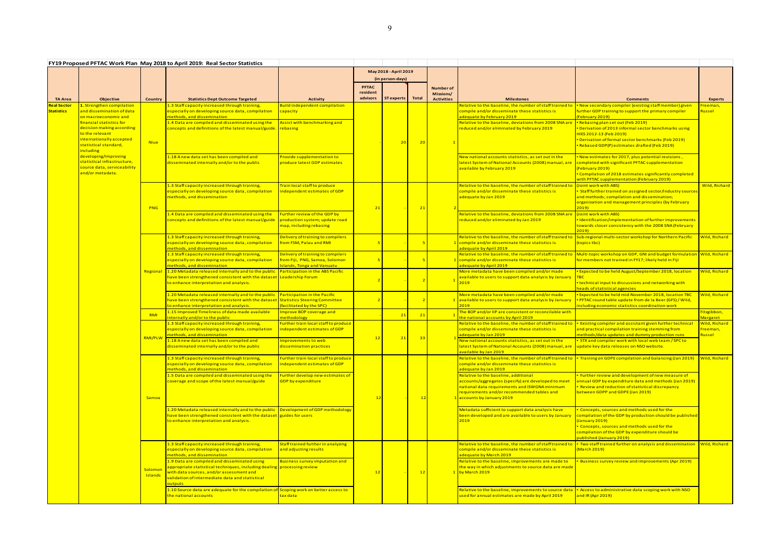|                    |                                                            |                | FY19 Proposed PFTAC Work Plan May 2018 to April 2019: Real Sector Statistics                                                            |                                                                     |                       |                  |       |                                |                                                                                                                         |                                                                                                                   |                                 |
|--------------------|------------------------------------------------------------|----------------|-----------------------------------------------------------------------------------------------------------------------------------------|---------------------------------------------------------------------|-----------------------|------------------|-------|--------------------------------|-------------------------------------------------------------------------------------------------------------------------|-------------------------------------------------------------------------------------------------------------------|---------------------------------|
|                    |                                                            |                |                                                                                                                                         |                                                                     | May 2018 - April 2019 |                  |       |                                |                                                                                                                         |                                                                                                                   |                                 |
|                    |                                                            |                |                                                                                                                                         |                                                                     |                       | (in person-days) |       |                                |                                                                                                                         |                                                                                                                   |                                 |
|                    |                                                            |                |                                                                                                                                         |                                                                     | PFTAC<br>resident     |                  |       | <b>Number of</b>               |                                                                                                                         |                                                                                                                   |                                 |
| <b>TA Area</b>     | Objective                                                  | Country        | <b>Statistics Dept Outcome Targeted</b>                                                                                                 | <b>Activity</b>                                                     | advisors              | ST experts       | Total | Missions/<br><b>Activities</b> | <b>Milestones</b>                                                                                                       | <b>Comments</b>                                                                                                   | <b>Experts</b>                  |
| <b>Real Sector</b> | 1. Strengthen compilation                                  |                | 1.3 Staff capacity increased through training,                                                                                          | Build independent compilation                                       |                       |                  |       |                                | Relative to the baseline, the number of staff trained to                                                                | <b>Example 2</b> New secondary compiler (existing staff member) given                                             | reeman,                         |
| <b>Statistics</b>  | and dissemination of data<br>on macroeconomic and          |                | especially on developing source data, compilation<br>nethods, and dissemination                                                         | capacity                                                            |                       |                  |       |                                | compile and/or disseminate these statistics is<br>adequate by February 2019                                             | further GDP training to support the primary compiler<br>(February 2019)                                           | <mark>lussel</mark>             |
|                    | financial statistics for                                   |                | 1.4 Data are compiled and disseminated using the                                                                                        | Assist with benchmarking and                                        |                       |                  |       |                                | Relative to the baseline, deviations from 2008 SNA ard                                                                  | • Rebasing plan set out (Feb 2019)                                                                                |                                 |
|                    | decision making according<br>to the relevant               |                | oncepts and definitions of the latest manual/guide                                                                                      | rebasing                                                            |                       |                  |       |                                | reduced and/or eliminated by February 2019                                                                              | Derivation of 2013 informal sector benchmarks using<br>HIES 2012-13 (Feb 2019)                                    |                                 |
|                    | internationally accepted                                   | <b>Niue</b>    |                                                                                                                                         |                                                                     |                       | 20               | 20    |                                |                                                                                                                         | Derivation of formal sector benchmarks (Feb 2019)                                                                 |                                 |
|                    | statistical standard,<br>including<br>developing/improving |                |                                                                                                                                         |                                                                     |                       |                  |       |                                |                                                                                                                         | • Rebased GDP(P) estimates drafted (Feb 2019)                                                                     |                                 |
|                    |                                                            |                | 1.18 A new data set has been compiled and                                                                                               | Provide supplementation to                                          |                       |                  |       |                                | New national accounts statistics, as set out in the                                                                     | . New estimates for 2017, plus potential revisions,                                                               |                                 |
|                    | statistical infrastructure,<br>source data, serviceability |                | disseminated internally and/or to the public                                                                                            | produce latest GDP estimates                                        |                       |                  |       |                                | latest System of National Accounts (2008) manual, are                                                                   | completed with significant PFTAC supplementation                                                                  |                                 |
|                    | <mark>and/or metadata.</mark>                              |                |                                                                                                                                         |                                                                     |                       |                  |       |                                | available by February 2019                                                                                              | (February 2019)<br>• Compilation of 2018 estimates significantly completed                                        |                                 |
|                    |                                                            |                |                                                                                                                                         |                                                                     |                       |                  |       |                                |                                                                                                                         | with PFTAC supplementation (February 2019)                                                                        |                                 |
|                    |                                                            |                | 1.3 Staff capacity increased through training,<br>especially on developing source data, compilation                                     | Train local staff to produce<br>ndependent estimates of GDP         |                       |                  |       |                                | Relative to the baseline, the number of staff trained to<br>compile and/or disseminate these statistics is              | (Joint work with ABS)<br>Staff further trained on assigned sector/industry source:                                | Wild, Richard                   |
|                    |                                                            |                | methods, and dissemination                                                                                                              |                                                                     |                       |                  |       |                                | adequate by Jan 2019                                                                                                    | and methods; compilation and dissemination;                                                                       |                                 |
|                    |                                                            | <b>PNG</b>     |                                                                                                                                         |                                                                     | 2 <sup>2</sup>        |                  | 21    |                                |                                                                                                                         | organization and management principles (by February<br>2019                                                       |                                 |
|                    |                                                            |                | 1.4 Data are compiled and disseminated using the                                                                                        | urther review of the GDP by                                         |                       |                  |       |                                | elative to the baseline, deviations from 2008 SNA ar                                                                    | (Joint work with ABS)                                                                                             |                                 |
|                    |                                                            |                | concepts and definitions of the latest manual/guide                                                                                     | production system; update road<br>map, including rebasing           |                       |                  |       |                                | reduced and/or eliminated by Jan 2019                                                                                   | Identification/implementation of further improvements<br>towards closer consistency with the 2008 SNA (February   |                                 |
|                    |                                                            |                |                                                                                                                                         |                                                                     |                       |                  |       |                                |                                                                                                                         | 2019                                                                                                              |                                 |
|                    |                                                            |                | 1.3 Staff capacity increased through training,<br>especially on developing source data, compilation                                     | Delivery of training to compilers<br>from FSM, Palau and RMI        |                       |                  |       |                                | Relative to the baseline, the number of staff trained to<br>1 compile and/or disseminate these statistics is            | Sub-regional multi-sector workshop for Northern Pacific<br>(topics tbc)                                           | Wild, Richard                   |
|                    |                                                            |                | methods, and dissemination                                                                                                              |                                                                     |                       |                  |       |                                | adequate by April 2019                                                                                                  |                                                                                                                   |                                 |
|                    |                                                            |                | 1.3 Staff capacity increased through training,                                                                                          | Delivery of training to compilers                                   |                       |                  |       |                                | Relative to the baseline, the number of staff trained to<br>compile and/or disseminate these statistics is              | Multi-topic workshop on GDP, GNI and budget formulation Wild, Richard                                             |                                 |
|                    |                                                            | Regional       | especially on developing source data, compilation<br>methods, and dissemination                                                         | from Fiji, PNG, Samoa, Solomon<br><b>Islands, Tonga and Vanuatu</b> |                       |                  |       |                                | adequate by April 2019                                                                                                  | for members not trained in FY17; likely held in Fiji                                                              |                                 |
|                    |                                                            |                | 1.20 Metadata released internally and to the public                                                                                     | Participation in the ABS Pacific                                    |                       |                  |       |                                | More metadata have been compiled and/or made                                                                            | Expected to be held August/September 2018, location                                                               | <mark>Nild, Richard</mark>      |
|                    |                                                            |                | have been strengthened consistent with the dataset Leadership Forum<br>to enhance interpretation and analysis.                          |                                                                     |                       |                  |       |                                | available to users to support data analysis by January<br>2019                                                          | . technical input to discussions and networking with                                                              |                                 |
|                    |                                                            |                |                                                                                                                                         |                                                                     |                       |                  |       |                                |                                                                                                                         | neads of statistical agencies                                                                                     |                                 |
|                    |                                                            |                | 1.20 Metadata released internally and to the public<br>have been strengthened consistent with the dataset Statistics Steering Committee | Participation in the Pacific                                        |                       |                  |       |                                | More metadata have been compiled and/or made<br><mark>1  </mark> available to users to support data analysis by January | . Expected to be held mid-November 2018, location TBC<br>. PFTAC round table update from de la Beer (GFS) / Wild, | Nild, Richard                   |
|                    |                                                            |                | to enhance interpretation and analysis.                                                                                                 | (facilitated by the SPC)                                            |                       |                  |       |                                | 2019                                                                                                                    | including economic statistics coordination work                                                                   |                                 |
|                    |                                                            | <b>RMI</b>     | 1.15 Improved Timeliness of data made available<br>nternally and/or to the public                                                       | <b>Improve BOP coverage and</b><br>nethodology                      |                       | 21               | 21    |                                | The BOP and/or IIP are consistent or reconcilable with<br>the national accounts by April 2019                           |                                                                                                                   | Fitzgibbon,<br>Margaret         |
|                    |                                                            |                | 1.3 Staff capacity increased through training,                                                                                          | Further train local staff to produce                                | 12                    |                  |       |                                | Relative to the baseline, the number of staff trained to                                                                | Existing compiler and assistant given further technical                                                           | Wild, Richard                   |
|                    |                                                            |                | especially on developing source data, compilation<br>nethods, and dissemination                                                         | independent estimates of GDP                                        |                       |                  |       |                                | compile and/or disseminate these statistics is<br>adequate by Jan 2019                                                  | and practical compilation training stemming from<br>methods/data updates and dummy production runs                | <mark>-reeman,</mark><br>Russel |
|                    |                                                            | RMI/PLW        | 1.18 Anew data set has been compiled and                                                                                                | mprovements to web                                                  |                       | 21               | 33    |                                | New national accounts statistics, as set out in the                                                                     | STX and compiler work with local web team / SPC to                                                                |                                 |
|                    |                                                            | Samoa          | disseminated internally and/or to the public                                                                                            | dissemination practices                                             |                       |                  |       |                                | latest System of National Accounts (2008) manual, are update key data releases on NSO website.<br>available by Jan 2019 |                                                                                                                   |                                 |
|                    |                                                            |                | 1.3 Staff capacity increased through training,                                                                                          | Further train local staff to produce                                |                       |                  |       |                                | Relative to the baseline, the number of staff trained to                                                                | • Training on GDPE compilation and balancing (Jan 2019)                                                           | Wild, Richard                   |
|                    |                                                            |                | especially on developing source data, compilation                                                                                       | independent estimates of GDP                                        |                       |                  |       |                                | compile and/or disseminate these statistics is                                                                          |                                                                                                                   |                                 |
|                    |                                                            |                | methods, and dissemination<br>1.5 Data are compiled and disseminated using the                                                          | Further develop new estimates of                                    |                       |                  |       |                                | adequate by Jan 2019<br>Relative to the baseline, additional                                                            | <b>Further review and development of new measure of</b>                                                           |                                 |
|                    |                                                            |                | coverage and scope of the latest manual/guide                                                                                           | GDP by expenditure                                                  |                       |                  |       |                                | accounts/aggregates (specify) are developed to meet                                                                     | annual GDP by expenditure data and methods (Jan 2019)                                                             |                                 |
|                    |                                                            |                |                                                                                                                                         |                                                                     |                       |                  |       |                                | national data requirements and ISWGNA minimum<br>requirements and/or recommended tables and                             | Review and reduction of statistical discrepancy •<br>between GDPP and GDPE (Jan 2019)                             |                                 |
|                    |                                                            |                |                                                                                                                                         |                                                                     |                       |                  | 12    |                                | 1 accounts by January 2019                                                                                              |                                                                                                                   |                                 |
|                    |                                                            |                | L.20 Metadata released internally and to the public   Development of GDP methodology                                                    |                                                                     |                       |                  |       |                                | Metadata sufficient to support data analysis have                                                                       | Concepts, sources and methods used for the                                                                        |                                 |
|                    |                                                            |                | have been strengthened consistent with the dataset guides for users                                                                     |                                                                     |                       |                  |       |                                | been developed and are available to users by January                                                                    | compilation of the GDP by production should be published                                                          |                                 |
|                    |                                                            |                | to enhance interpretation and analysis.                                                                                                 |                                                                     |                       |                  |       |                                | 2019                                                                                                                    | (January 2019)<br>Concepts, sources and methods used for the                                                      |                                 |
|                    |                                                            | <b>Solomon</b> |                                                                                                                                         |                                                                     |                       |                  |       |                                |                                                                                                                         | compilation of the GDP by expenditure should be                                                                   |                                 |
|                    |                                                            |                | 1.3 Staff capacity increased through training,                                                                                          | Staff trained further in analyzing                                  |                       |                  |       |                                | Relative to the baseline, the number of staff trained to                                                                | published (January 2019)<br>Two staff trained further on analysis and dissemination                               | Wild, Richard                   |
|                    |                                                            |                | especially on developing source data, compilation                                                                                       | and adjusting results                                               |                       |                  |       |                                | compile and/or disseminate these statistics is                                                                          | (March 2019)                                                                                                      |                                 |
|                    |                                                            |                | methods, and dissemination<br>1.9 Data are compiled and disseminated using                                                              | <b>Business survey imputation and</b>                               |                       |                  |       |                                | adequate by March 2019<br>Relative to the baseline, improvements are made to                                            | <b>Business survey review and improvements (Apr 2019)</b>                                                         |                                 |
|                    |                                                            |                | appropriate statistical techniques, including dealing processing review                                                                 |                                                                     |                       |                  |       |                                | the way in which adjustments to source data are made                                                                    |                                                                                                                   |                                 |
|                    |                                                            | Islands        | with data sources, and/or assessment and<br>validation of intermediate data and statistical                                             |                                                                     | 12                    |                  | 12    |                                | by March 2019                                                                                                           |                                                                                                                   |                                 |
|                    |                                                            |                | putputs <b>a</b>                                                                                                                        |                                                                     |                       |                  |       |                                |                                                                                                                         |                                                                                                                   |                                 |
|                    |                                                            |                | L.10 Source data are adequate for the compilation of Scoping work on better access to                                                   |                                                                     |                       |                  |       |                                | Relative to the baseline, improvements to source data                                                                   | • Access to administrative data scoping work with NSO                                                             |                                 |
|                    |                                                            |                | the national accounts                                                                                                                   | tax data l                                                          |                       |                  |       |                                | used for annual estimates are made by April 2019                                                                        | and IR (Apr 2019)                                                                                                 |                                 |